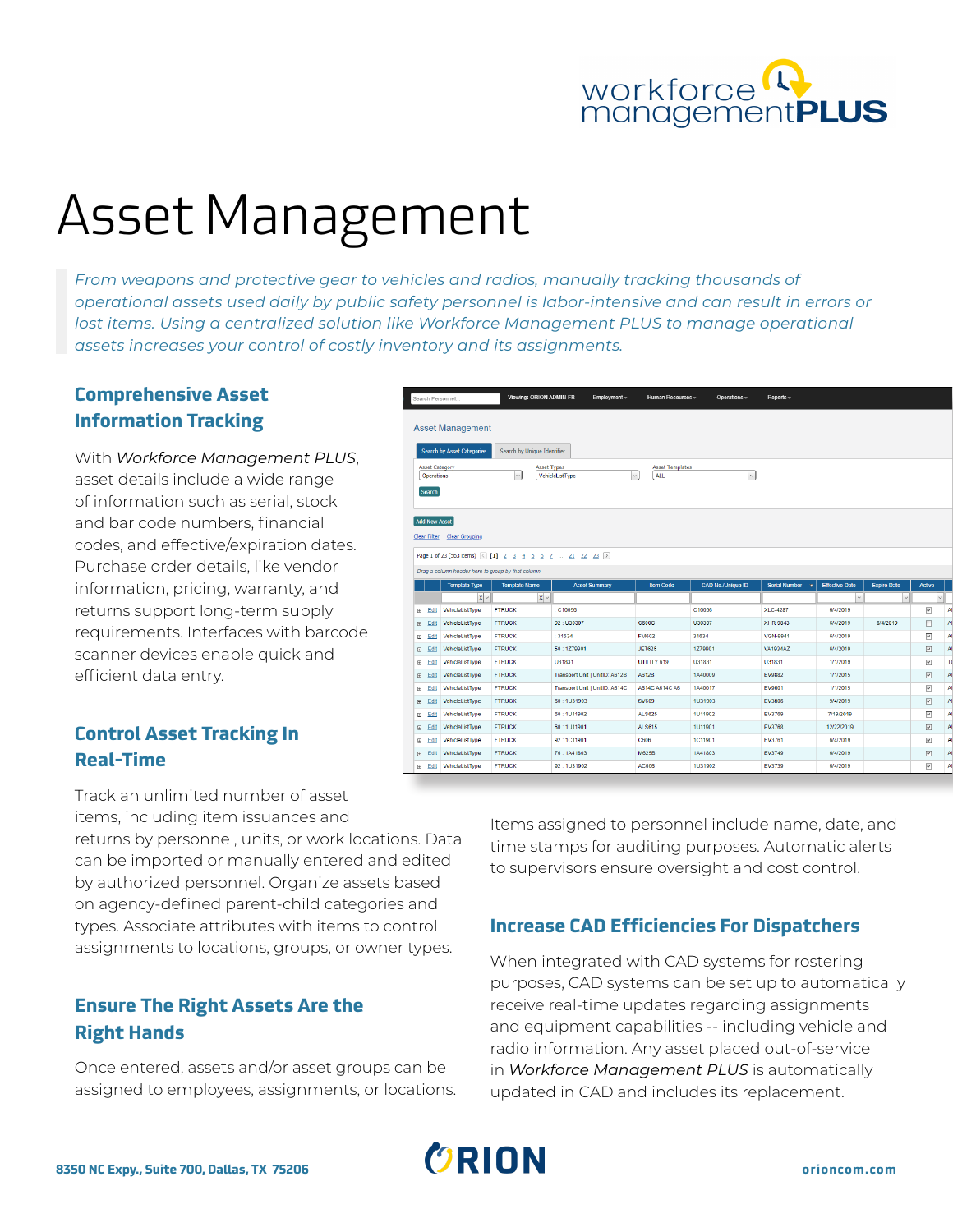

# Asset Management

*From weapons and protective gear to vehicles and radios, manually tracking thousands of operational assets used daily by public safety personnel is labor-intensive and can result in errors or lost items. Using a centralized solution like Workforce Management PLUS to manage operational assets increases your control of costly inventory and its assignments.* 

## **Comprehensive Asset Information Tracking**

With *Workforce Management PLUS*, asset details include a wide range of information such as serial, stock and bar code numbers, financial codes, and effective/expiration dates. Purchase order details, like vendor information, pricing, warranty, and returns support long-term supply requirements. Interfaces with barcode scanner devices enable quick and efficient data entry.

### **Control Asset Tracking In Real-Time**

Track an unlimited number of asset items, including item issuances and

returns by personnel, units, or work locations. Data can be imported or manually entered and edited by authorized personnel. Organize assets based on agency-defined parent-child categories and types. Associate attributes with items to control assignments to locations, groups, or owner types.

# **Ensure The Right Assets Are the Right Hands**

Once entered, assets and/or asset groups can be assigned to employees, assignments, or locations.

|                                                                                                                                                                          | Search Personnel                                                                                                                                                                                                                                               |                        | Viewing: ORION ADMIN FR | Employment $\sim$              | Human Resources - | Operations $\sim$ | Reports $\sim$          |              |          |                              |           |  |  |  |
|--------------------------------------------------------------------------------------------------------------------------------------------------------------------------|----------------------------------------------------------------------------------------------------------------------------------------------------------------------------------------------------------------------------------------------------------------|------------------------|-------------------------|--------------------------------|-------------------|-------------------|-------------------------|--------------|----------|------------------------------|-----------|--|--|--|
|                                                                                                                                                                          | <b>Asset Management</b><br><b>Search by Asset Categories</b><br>Search by Unique Identifier                                                                                                                                                                    |                        |                         |                                |                   |                   |                         |              |          |                              |           |  |  |  |
| <b>Asset Templates</b><br><b>Asset Category</b><br><b>Asset Types</b><br><b>ALL</b><br>$\vee$<br>VehicleListType<br>$\checkmark$<br>Operations<br>$\checkmark$<br>Search |                                                                                                                                                                                                                                                                |                        |                         |                                |                   |                   |                         |              |          |                              |           |  |  |  |
| <b>Add New Asset</b><br>Clear Filter Clear Grouping                                                                                                                      |                                                                                                                                                                                                                                                                |                        |                         |                                |                   |                   |                         |              |          |                              |           |  |  |  |
|                                                                                                                                                                          | Page 1 of 23 (563 items) < [1] 2 3 4 5 6 7  21 22 23 ><br>Drag a column header here to group by that column<br><b>CAD No./Unique ID</b><br><b>Template Type</b><br><b>Template Name</b><br><b>Serial Number</b><br><b>Effective Date</b><br><b>Expire Date</b> |                        |                         |                                |                   |                   |                         |              |          |                              |           |  |  |  |
|                                                                                                                                                                          |                                                                                                                                                                                                                                                                | $x \sim$               | $x \sim$                | <b>Asset Summary</b>           | <b>Item Code</b>  |                   | $\overline{\mathbf{v}}$ | $\checkmark$ |          | <b>Active</b><br>$\check{~}$ |           |  |  |  |
|                                                                                                                                                                          | Edit<br>$\boxplus$                                                                                                                                                                                                                                             | VehicleListType        | <b>FTRUCK</b>           | C10056                         |                   | C10056            | <b>XLC-4287</b>         | 6/4/2019     |          | $\overline{\checkmark}$      | AI        |  |  |  |
|                                                                                                                                                                          | Edit<br>$\qquad \qquad \boxplus$                                                                                                                                                                                                                               | VehicleListType        | <b>FTRUCK</b>           | 92: U30307                     | <b>C600C</b>      | U30307            | XHR-9843                | 6/4/2019     | 6/4/2019 | □                            | Al        |  |  |  |
|                                                                                                                                                                          | Edit<br>$\circledcirc$                                                                                                                                                                                                                                         | VehicleListTvpe        | <b>FTRUCK</b>           | 31634                          | <b>FM602</b>      | 31634             | <b>VGN-9941</b>         | 6/4/2019     |          | $\checkmark$                 | AI        |  |  |  |
|                                                                                                                                                                          | Edit<br>$\bigoplus$                                                                                                                                                                                                                                            | VehicleListType        | <b>FTRUCK</b>           | 50:1279901                     | <b>JET625</b>     | 1Z79901           | <b>VA1934AZ</b>         | 6/4/2019     |          | $\overline{\mathsf{v}}$      | Al        |  |  |  |
|                                                                                                                                                                          | Edit<br>$\qquad \qquad \boxplus$                                                                                                                                                                                                                               | VehicleListType        | <b>FTRUCK</b>           | U31831                         | UTILITY 619       | U31831            | U31831                  | 1/1/2019     |          | $\overline{\mathsf{v}}$      | TC        |  |  |  |
|                                                                                                                                                                          | Edit<br>$\qquad \qquad \boxdot$                                                                                                                                                                                                                                | VehicleListType        | <b>FTRUCK</b>           | Transport Unit   UnitID: A612B | A612B             | 1A40009           | EV9882                  | 1/1/2015     |          | $\overline{\vee}$            | Al)       |  |  |  |
|                                                                                                                                                                          | Edit<br>$\circledR$                                                                                                                                                                                                                                            | <b>VehicleListTvpe</b> | <b>FTRUCK</b>           | Transport Unit   UnitID: A614C | A614C A614C A6    | 1A40017           | EV9601                  | 1/1/2015     |          | $\checkmark$                 | AI        |  |  |  |
|                                                                                                                                                                          | Edit<br>$\qquad \qquad \oplus$                                                                                                                                                                                                                                 | VehicleListType        | <b>FTRUCK</b>           | 60:1U31903                     | <b>SV609</b>      | <b>1U31903</b>    | EV3806                  | 9/4/2019     |          | $\overline{\mathsf{v}}$      | Al        |  |  |  |
|                                                                                                                                                                          | Edit<br>$\Box$                                                                                                                                                                                                                                                 | VehicleListType        | <b>FTRUCK</b>           | 60:1U11902                     | <b>ALS625</b>     | 1U11902           | EV3769                  | 7/19/2019    |          | $\overline{\checkmark}$      | Al        |  |  |  |
|                                                                                                                                                                          | Edit<br>$\circledcirc$                                                                                                                                                                                                                                         | VehicleListTvpe        | <b>FTRUCK</b>           | 60:1U11901                     | <b>ALS615</b>     | <b>1U11901</b>    | EV3768                  | 12/22/2019   |          | $\overline{\mathsf{v}}$      | <b>Al</b> |  |  |  |
|                                                                                                                                                                          | Edit<br>$\bigoplus$                                                                                                                                                                                                                                            | VehicleListType        | <b>FTRUCK</b>           | 92:1C11901                     | C606              | 1C11901           | EV3761                  | 6/4/2019     |          | $\checkmark$                 | Al        |  |  |  |
|                                                                                                                                                                          | Edit<br>$\Box$                                                                                                                                                                                                                                                 | VehicleListType        | <b>FTRUCK</b>           | 76:1A41803                     | M625B             | 1A41803           | EV3749                  | 6/4/2019     |          | $\overline{\mathsf{S}}$      | Al        |  |  |  |
|                                                                                                                                                                          |                                                                                                                                                                                                                                                                |                        |                         |                                |                   |                   |                         |              |          |                              |           |  |  |  |

Items assigned to personnel include name, date, and time stamps for auditing purposes. Automatic alerts to supervisors ensure oversight and cost control.

# **Increase CAD Efficiencies For Dispatchers**

When integrated with CAD systems for rostering purposes, CAD systems can be set up to automatically receive real-time updates regarding assignments and equipment capabilities -- including vehicle and radio information. Any asset placed out-of-service in *Workforce Management PLUS* is automatically updated in CAD and includes its replacement.